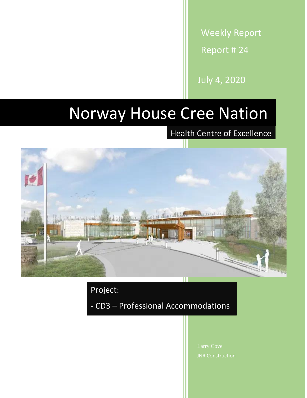Weekly Report Report # 24

July 4, 2020

# Norway House Cree Nation

Health Centre of Excellence



Project:

- CD3 – Professional Accommodations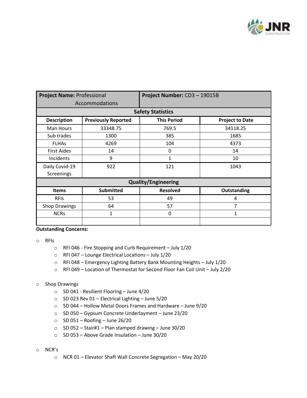

| <b>Project Name: Professional</b> |                            | Project Number: CD3-19015B |                        |  |
|-----------------------------------|----------------------------|----------------------------|------------------------|--|
| Accommodations                    |                            |                            |                        |  |
| <b>Safety Statistics</b>          |                            |                            |                        |  |
| <b>Description</b>                | <b>Previously Reported</b> | <b>This Period</b>         | <b>Project to Date</b> |  |
| Man Hours                         | 33348.75                   | 769.5                      | 34118.25               |  |
| Sub trades                        | 1300                       | 385                        | 1685                   |  |
| <b>FLHAS</b>                      | 4269                       | 104                        | 4373                   |  |
| <b>First Aides</b>                | 14                         | 0                          | 14                     |  |
| Incidents                         | 9                          | 1                          | 10                     |  |
| Daily Covid-19                    | 922                        | 121                        | 1043                   |  |
| Screenings                        |                            |                            |                        |  |
| <b>Quality/Engineering</b>        |                            |                            |                        |  |
| <b>Items</b>                      | <b>Submitted</b>           | <b>Resolved</b>            | Outstanding            |  |
| <b>RFIS</b>                       | 53                         | 49                         | 4                      |  |
| <b>Shop Drawings</b>              | 64                         | 57                         | 7                      |  |
| <b>NCRs</b>                       | 1                          | 0                          | $\mathbf{1}$           |  |
|                                   |                            |                            |                        |  |

#### **Outstanding Concerns:**

- o RFIs
	- o RFI 046 Fire Stopping and Curb Requirement July 1/20
	- o RFI 047 Lounge Electrical Locations July 1/20
	- o RFI 048 Emergency Lighting Battery Bank Mounting Heights July 1/20
	- o RFI 049 Location of Thermostat for Second Floor Fan Coil Unit July 2/20

#### o Shop Drawings

- o SD 041 Resilient Flooring June 4/20
- o SD 023 Rev 01 Electrical Lighting June 5/20
- o SD 044 Hollow Metal Doors Frames and Hardware June 9/20
- o SD 050 Gypsum Concrete Underlayment June 23/20
- $\circ$  SD 051 Roofing June 26/20
- o SD 052 Stair#1 Plan stamped drawing June 30/20
- o SD 053 Above Grade Insulation June 30/20
- o NCR's
	- o NCR 01 Elevator Shaft Wall Concrete Segregation May 20/20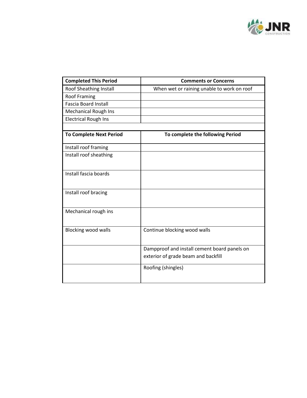

| <b>Completed This Period</b>   | <b>Comments or Concerns</b>                                                         |  |
|--------------------------------|-------------------------------------------------------------------------------------|--|
| Roof Sheathing Install         | When wet or raining unable to work on roof                                          |  |
| <b>Roof Framing</b>            |                                                                                     |  |
| <b>Fascia Board Install</b>    |                                                                                     |  |
| <b>Mechanical Rough Ins</b>    |                                                                                     |  |
| <b>Electrical Rough Ins</b>    |                                                                                     |  |
|                                |                                                                                     |  |
| <b>To Complete Next Period</b> | To complete the following Period                                                    |  |
| Install roof framing           |                                                                                     |  |
| Install roof sheathing         |                                                                                     |  |
| Install fascia boards          |                                                                                     |  |
| Install roof bracing           |                                                                                     |  |
| Mechanical rough ins           |                                                                                     |  |
| <b>Blocking wood walls</b>     | Continue blocking wood walls                                                        |  |
|                                | Dampproof and install cement board panels on<br>exterior of grade beam and backfill |  |
|                                | Roofing (shingles)                                                                  |  |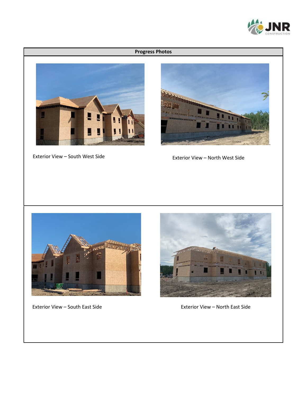

### **Progress Photos**



Exterior View – South West Side



Exterior View – North West Side





Exterior View – South East Side Exterior View – North East Side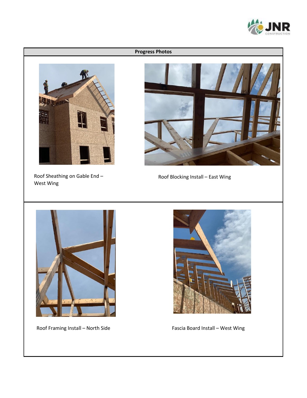

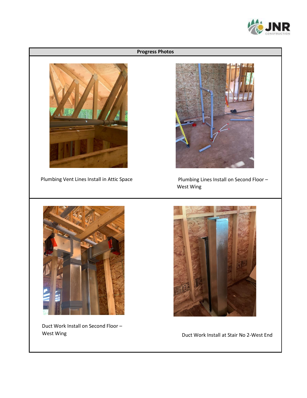